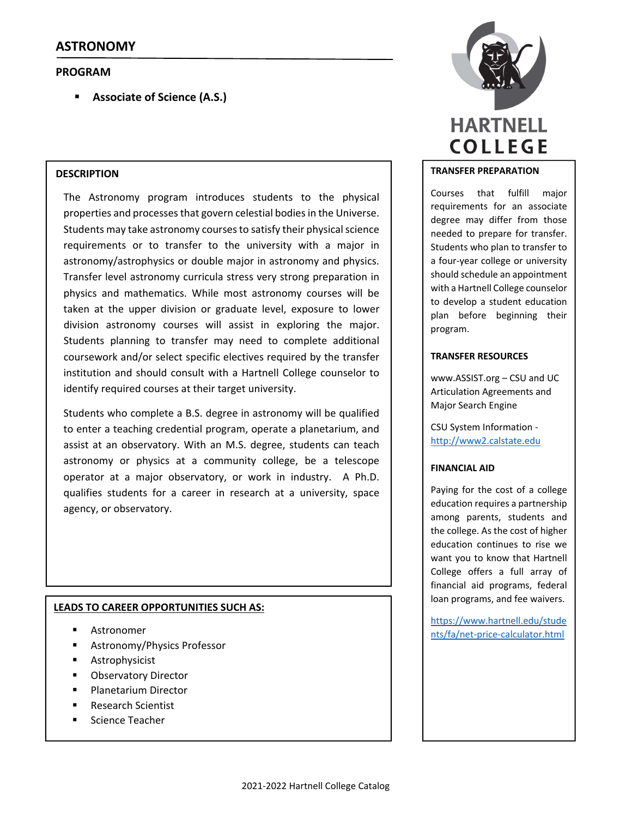# **PROGRAM**

**Associate of Science (A.S.)**

# **DESCRIPTION**

The Astronomy program introduces students to the physical properties and processes that govern celestial bodies in the Universe. Students may take astronomy courses to satisfy their physical science requirements or to transfer to the university with a major in astronomy/astrophysics or double major in astronomy and physics. Transfer level astronomy curricula stress very strong preparation in physics and mathematics. While most astronomy courses will be taken at the upper division or graduate level, exposure to lower division astronomy courses will assist in exploring the major. Students planning to transfer may need to complete additional coursework and/or select specific electives required by the transfer institution and should consult with a Hartnell College counselor to identify required courses at their target university.

Students who complete a B.S. degree in astronomy will be qualified to enter a teaching credential program, operate a planetarium, and assist at an observatory. With an M.S. degree, students can teach astronomy or physics at a community college, be a telescope operator at a major observatory, or work in industry. A Ph.D. qualifies students for a career in research at a university, space agency, or observatory.

# **LEADS TO CAREER OPPORTUNITIES SUCH AS:**

- Astronomer
- Astronomy/Physics Professor
- Astrophysicist
- Observatory Director
- Planetarium Director
- Research Scientist
- Science Teacher



# **TRANSFER PREPARATION**

Courses that fulfill major requirements for an associate degree may differ from those needed to prepare for transfer. Students who plan to transfer to a four‐year college or university should schedule an appointment with a Hartnell College counselor to develop a student education plan before beginning their program.

## **TRANSFER RESOURCES**

www.ASSIST.org – CSU and UC Articulation Agreements and Major Search Engine

CSU System Information ‐ http://www2.calstate.edu

## **FINANCIAL AID**

Paying for the cost of a college education requires a partnership among parents, students and the college. As the cost of higher education continues to rise we want you to know that Hartnell College offers a full array of financial aid programs, federal loan programs, and fee waivers.

https://www.hartnell.edu/stude nts/fa/net‐price‐calculator.html